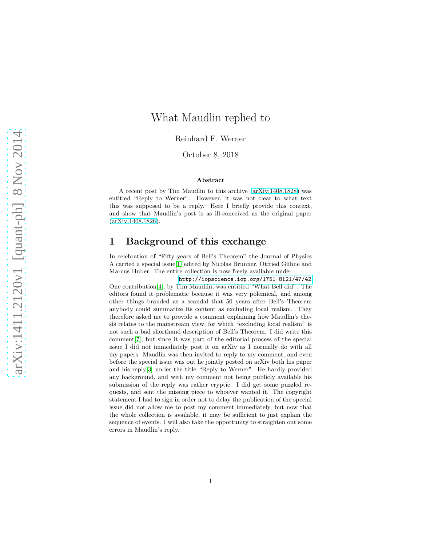# What Maudlin replied to

Reinhard F. Werner

October 8, 2018

#### Abstract

A recent post by Tim Maudlin to this archive [\(arXiv:1408.1828\)](http://arxiv.org/abs/1408.1828) was entitled "Reply to Werner". However, it was not clear to what text this was supposed to be a reply. Here I briefly provide this context, and show that Maudlin's post is as ill-conceived as the original paper [\(arXiv:1408.1826\)](http://arxiv.org/abs/1408.1826).

# 1 Background of this exchange

In celebration of "Fifty years of Bell's Theorem" the Journal of Physics A carried a special issue<sup>[\[1\]](#page-4-0)</sup> edited by Nicolas Brunner, Otfried Gühne and Marcus Huber. The entire collection is now freely available under

[http://iopscience.iop.org/1751-8121/47/42](http://iopscience.iop.org/1751-8121/47/42\hfill \relax \unhcopy \strutbox ) One contribution[\[4\]](#page-4-1), by Tim Maudlin, was entitled "What Bell did". The editors found it problematic because it was very polemical, and among other things branded as a scandal that 50 years after Bell's Theorem anybody could summarize its content as excluding local realism. They therefore asked me to provide a comment explaining how Maudlin's thesis relates to the mainstream view, for which "excluding local realism" is not such a bad shorthand description of Bell's Theorem. I did write this comment[\[7\]](#page-4-2), but since it was part of the editorial process of the special issue I did not immediately post it on arXiv as I normally do with all my papers. Maudlin was then invited to reply to my comment, and even before the special issue was out he jointly posted on arXiv both his paper and his reply[\[3\]](#page-4-3) under the title "Reply to Werner". He hardly provided any background, and with my comment not being publicly available his submission of the reply was rather cryptic. I did get some puzzled requests, and sent the missing piece to whoever wanted it. The copyright statement I had to sign in order not to delay the publication of the special issue did not allow me to post my comment immediately, but now that the whole collection is available, it may be sufficient to just explain the sequence of events. I will also take the opportunity to straighten out some errors in Maudlin's reply.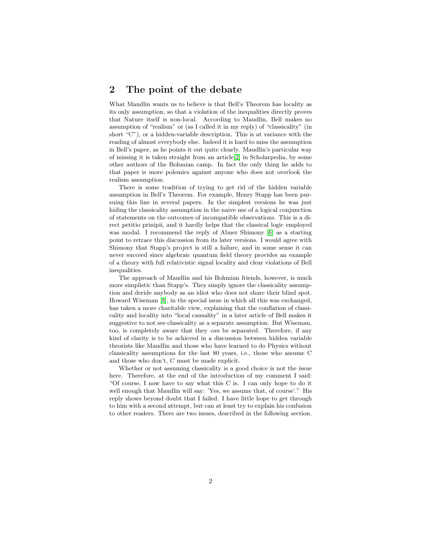#### 2 The point of the debate

What Maudlin wants us to believe is that Bell's Theorem has locality as its only assumption, so that a violation of the inequalities directly proves that Nature itself is non-local. According to Maudlin, Bell makes no assumption of "realism" or (as I called it in my reply) of "classicality" (in short "C"), or a hidden-variable description. This is at variance with the reading of almost everybody else. Indeed it is hard to miss the assumption in Bell's paper, as he points it out quite clearly. Maudlin's particular way of missing it is taken straight from an article[\[2\]](#page-4-4) in Scholarpedia, by some other authors of the Bohmian camp. In fact the only thing he adds to that paper is more polemics against anyone who does not overlook the realism assumption.

There is some tradition of trying to get rid of the hidden variable assumption in Bell's Theorem. For example, Henry Stapp has been pursuing this line in several papers. In the simplest versions he was just hiding the classicality assumption in the naive use of a logical conjunction of statements on the outcomes of incompatible observations. This is a direct petitio prinipii, and it hardly helps that the classical logic employed was modal. I recommend the reply of Abner Shimony [\[6\]](#page-4-5) as a starting point to retrace this discussion from its later versions. I would agree with Shimony that Stapp's project is still a failure, and in some sense it can never succeed since algebraic quantum field theory provides an example of a theory with full relativistic signal locality and clear violations of Bell inequalities.

The approach of Maudlin and his Bohmian friends, however, is much more simplistic than Stapp's. They simply ignore the classicality assumption and deride anybody as an idiot who does not share their blind spot. Howard Wiseman [\[8\]](#page-4-6), in the special issue in which all this was exchanged, has taken a more charitable view, explaining that the conflation of classicality and locality into "local causality" in a later article of Bell makes it suggestive to not see classicality as a separate assumption. But Wiseman, too, is completely aware that they can be separated. Therefore, if any kind of clarity is to be achieved in a discussion between hidden variable theorists like Maudlin and those who have learned to do Physics without classicality assumptions for the last 80 years, i.e., those who assume C and those who don't, C must be made explicit.

Whether or not assuming classicality is a good choice is not the issue here. Therefore, at the end of the introduction of my comment I said: "Of course, I now have to say what this C is. I can only hope to do it well enough that Maudlin will say: 'Yes, we assume that, of course'." His reply shows beyond doubt that I failed. I have little hope to get through to him with a second attempt, but can at least try to explain his confusion to other readers. There are two issues, described in the following section.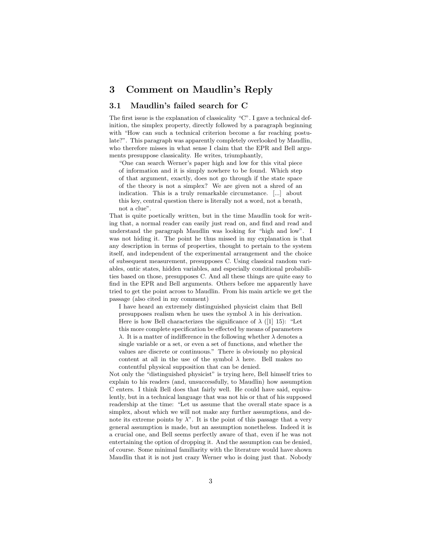# 3 Comment on Maudlin's Reply

#### 3.1 Maudlin's failed search for C

The first issue is the explanation of classicality "C". I gave a technical definition, the simplex property, directly followed by a paragraph beginning with "How can such a technical criterion become a far reaching postulate?". This paragraph was apparently completely overlooked by Maudlin, who therefore misses in what sense I claim that the EPR and Bell arguments presuppose classicality. He writes, triumphantly,

"One can search Werner's paper high and low for this vital piece of information and it is simply nowhere to be found. Which step of that argument, exactly, does not go through if the state space of the theory is not a simplex? We are given not a shred of an indication. This is a truly remarkable circumstance. [...] about this key, central question there is literally not a word, not a breath, not a clue".

That is quite poetically written, but in the time Maudlin took for writing that, a normal reader can easily just read on, and find and read and understand the paragraph Maudlin was looking for "high and low". I was not hiding it. The point he thus missed in my explanation is that any description in terms of properties, thought to pertain to the system itself, and independent of the experimental arrangement and the choice of subsequent measurement, presupposes C. Using classical random variables, ontic states, hidden variables, and especially conditional probabilities based on those, presupposes C. And all these things are quite easy to find in the EPR and Bell arguments. Others before me apparently have tried to get the point across to Maudlin. From his main article we get the passage (also cited in my comment)

I have heard an extremely distinguished physicist claim that Bell presupposes realism when he uses the symbol  $\lambda$  in his derivation. Here is how Bell characterizes the significance of  $\lambda$  ([1] 15): "Let this more complete specification be effected by means of parameters λ. It is a matter of indifference in the following whether λ denotes a single variable or a set, or even a set of functions, and whether the values are discrete or continuous." There is obviously no physical content at all in the use of the symbol  $\lambda$  here. Bell makes no contentful physical supposition that can be denied.

Not only the "distinguished physicist" is trying here, Bell himself tries to explain to his readers (and, unsuccessfully, to Maudlin) how assumption C enters. I think Bell does that fairly well. He could have said, equivalently, but in a technical language that was not his or that of his supposed readership at the time: "Let us assume that the overall state space is a simplex, about which we will not make any further assumptions, and denote its extreme points by  $\lambda$ ". It is the point of this passage that a very general assumption is made, but an assumption nonetheless. Indeed it is a crucial one, and Bell seems perfectly aware of that, even if he was not entertaining the option of dropping it. And the assumption can be denied, of course. Some minimal familiarity with the literature would have shown Maudlin that it is not just crazy Werner who is doing just that. Nobody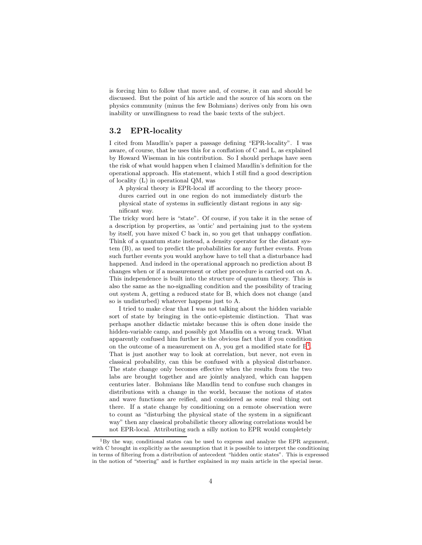is forcing him to follow that move and, of course, it can and should be discussed. But the point of his article and the source of his scorn on the physics community (minus the few Bohmians) derives only from his own inability or unwillingness to read the basic texts of the subject.

#### 3.2 EPR-locality

I cited from Maudlin's paper a passage defining "EPR-locality". I was aware, of course, that he uses this for a conflation of C and L, as explained by Howard Wiseman in his contribution. So I should perhaps have seen the risk of what would happen when I claimed Maudlin's definition for the operational approach. His statement, which I still find a good description of locality (L) in operational QM, was

A physical theory is EPR-local iff according to the theory procedures carried out in one region do not immediately disturb the physical state of systems in sufficiently distant regions in any significant way.

The tricky word here is "state". Of course, if you take it in the sense of a description by properties, as 'ontic' and pertaining just to the system by itself, you have mixed C back in, so you get that unhappy conflation. Think of a quantum state instead, a density operator for the distant system (B), as used to predict the probabilities for any further events. From such further events you would anyhow have to tell that a disturbance had happened. And indeed in the operational approach no prediction about B changes when or if a measurement or other procedure is carried out on A. This independence is built into the structure of quantum theory. This is also the same as the no-signalling condition and the possibility of tracing out system A, getting a reduced state for B, which does not change (and so is undisturbed) whatever happens just to A.

I tried to make clear that I was not talking about the hidden variable sort of state by bringing in the ontic-epistemic distinction. That was perhaps another didactic mistake because this is often done inside the hidden-variable camp, and possibly got Maudlin on a wrong track. What apparently confused him further is the obvious fact that if you condition on the outcome of a measurement on A, you get a modified state for  $B<sup>1</sup>$  $B<sup>1</sup>$  $B<sup>1</sup>$ . That is just another way to look at correlation, but never, not even in classical probability, can this be confused with a physical disturbance. The state change only becomes effective when the results from the two labs are brought together and are jointly analyzed, which can happen centuries later. Bohmians like Maudlin tend to confuse such changes in distributions with a change in the world, because the notions of states and wave functions are reified, and considered as some real thing out there. If a state change by conditioning on a remote observation were to count as "disturbing the physical state of the system in a significant way" then any classical probabilistic theory allowing correlations would be not EPR-local. Attributing such a silly notion to EPR would completely

<span id="page-3-0"></span> $1By$  the way, conditional states can be used to express and analyze the EPR argument, with C brought in explicitly as the assumption that it is possible to interpret the conditioning in terms of filtering from a distribution of antecedent "hidden ontic states". This is expressed in the notion of "steering" and is further explained in my main article in the special issue.